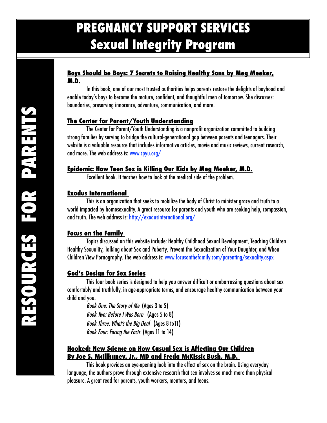# **PREGNANCY SUPPORT SERVICES Sexual Integrity Program**

#### **Boys Should be Boys: 7 Secrets to Raising Healthy Sons by Meg Meeker, M.D.**

In this book, one of our most trusted authorities helps parents restore the delights of boyhood and enable today's boys to become the mature, confident, and thoughtful men of tomorrow. She discusses: boundaries, preserving innocence, adventure, communication, and more.

## **The Center for Parent/Youth Understanding**

The Center for Parent/Youth Understanding is a nonprofit organization committed to building strong families by serving to bridge the cultural-generational gap between parents and teenagers. Their website is a valuable resource that includes informative articles, movie and music reviews, current research, and more. The web address is: [www.cpyu.org/](http://www.cpyu.org/Dx)

## **Epidemic: How Teen Sex is Killing Our Kids by Meg Meeker, M.D.**

Excellent book. It teaches how to look at the medical side of the problem.

## **Exodus International**

This is an organization that seeks to mobilize the body of Christ to minister grace and truth to a world impacted by homosexuality. A great resource for parents and youth who are seeking help, compassion, and truth. The web address is: <http://exodusinternational.org/>

## **Focus on the Family**

Topics discussed on this website include: Healthy Childhood Sexual Development, Teaching Children Healthy Sexuality, Talking about Sex and Puberty, Prevent the Sexualization of Your Daughter, and When Children View Pornography. The web address is: [www.focusonthefamily.com/parenting/sexuality.aspx](http://www.focusonthefamily.com/parenting/sexuality.aspx)

## **God's Design for Sex Series**

This four book series is designed to help you answer difficult or embarrassing questions about sex comfortably and truthfully, in age-appropriate terms, and encourage healthy communication between your child and you.

*Book One: The Story of Me* (Ages 3 to 5) *Book Two: Before I Was Born* (Ages 5 to 8) *Book Three: What's the Big Deal* (Ages 8 to11) *Book Four: Facing the Facts* (Ages 11 to 14)

## **Hooked: New Science on How Casual Sex is Affecting Our Children By Joe S. McIllhaney, Jr., MD and Freda McKissic Bush, M.D.**

This book provides an eye-opening look into the effect of sex on the brain. Using everyday language, the authors prove through extensive research that sex involves so much more than physical pleasure. A great read for parents, youth workers, mentors, and teens.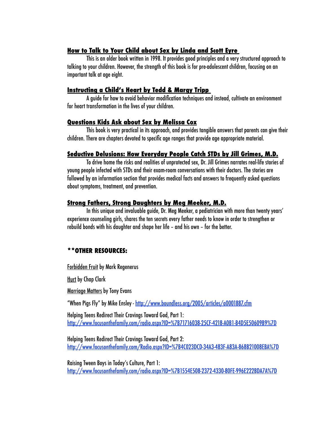#### **How to Talk to Your Child about Sex by Linda and Scott Eyre**

This is an older book written in 1998. It provides good principles and a very structured approach to talking to your children. However, the strength of this book is for pre-adolescent children, focusing on an important talk at age eight.

#### **Instructing a Child's Heart by Tedd & Margy Tripp**

A guide for how to avoid behavior modification techniques and instead, cultivate an environment for heart transformation in the lives of your children.

#### **Questions Kids Ask about Sex by Melissa Cox**

This book is very practical in its approach, and provides tangible answers that parents can give their children. There are chapters devoted to specific age ranges that provide age appropriate material.

#### **Seductive Delusions: How Everyday People Catch STDs by Jill Grimes, M.D.**

To drive home the risks and realities of unprotected sex, Dr. Jill Grimes narrates real-life stories of young people infected with STDs and their exam-room conversations with their doctors. The stories are followed by an information section that provides medical facts and answers to frequently asked questions about symptoms, treatment, and prevention.

#### **Strong Fathers, Strong Daughters by Meg Meeker, M.D.**

In this unique and invaluable guide, Dr. Meg Meeker, a pediatrician with more than twenty years' experience counseling girls, shares the ten secrets every father needs to know in order to strengthen or rebuild bonds with his daughter and shape her life – and his own – for the better.

## **\*\*OTHER RESOURCES:**

Forbidden Fruit by Mark Regenerus

**Hurt by Chap Clark** 

Marriage Matters by Tony Evans

"When Pigs Fly" by Mike Ensley - <http://www.boundless.org/2005/articles/a0001887.cfm>

Helping Teens Redirect Their Cravings Toward God, Part 1: <http://www.focusonthefamily.com/radio.aspx?ID=%7B71716038-25CF-4218-A0B1-B4D5E50609B9%7D>

Helping Teens Redirect Their Cravings Toward God, Part 2: <http://www.focusonthefamily.com/Radio.aspx?ID=%7B4C023DCD-34A3-483F-A83A-868B21008EBA%7D>

Raising Tween Boys in Today's Culture, Part 1: <http://www.focusonthefamily.com/radio.aspx?ID=%7B1554E508-2372-4330-80FE-996E222BDA7A%7D>